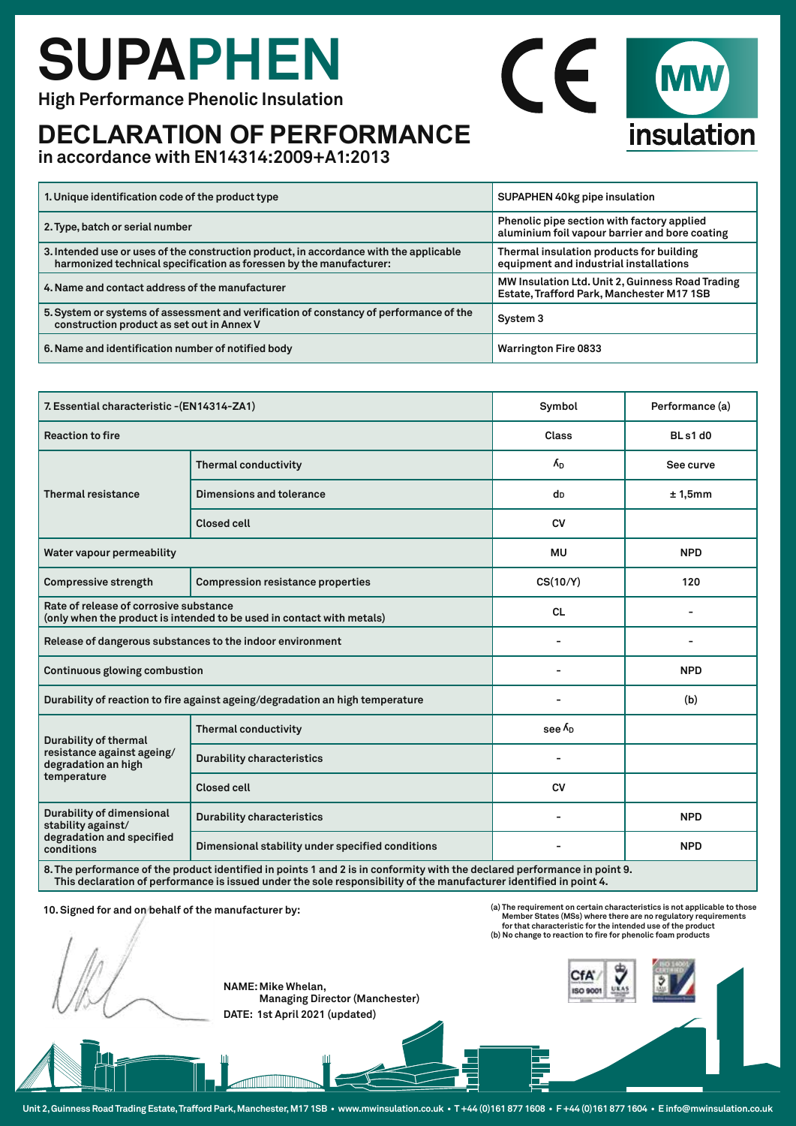# **SUPAPHEN**

**High Performance Phenolic Insulation**

### **DECLARATION OF PERFORMANCE**

**in accordance with EN14314:2009+A1:2013** 

| 1. Unique identification code of the product type                                                                                                             | SUPAPHEN 40kg pipe insulation                                                                 |  |
|---------------------------------------------------------------------------------------------------------------------------------------------------------------|-----------------------------------------------------------------------------------------------|--|
| 2. Type, batch or serial number                                                                                                                               | Phenolic pipe section with factory applied<br>aluminium foil vapour barrier and bore coating  |  |
| 3. Intended use or uses of the construction product, in accordance with the applicable<br>harmonized technical specification as foressen by the manufacturer: | Thermal insulation products for building<br>equipment and industrial installations            |  |
| 4. Name and contact address of the manufacturer                                                                                                               | MW Insulation Ltd. Unit 2, Guinness Road Trading<br>Estate, Trafford Park, Manchester M17 1SB |  |
| 5. System or systems of assessment and verification of constancy of performance of the<br>construction product as set out in Annex V                          | System 3                                                                                      |  |
| 6. Name and identification number of notified body                                                                                                            | <b>Warrington Fire 0833</b>                                                                   |  |

 $\epsilon$ 

insulation

|                                                                                                                           | 7. Essential characteristic - (EN14314-ZA1)      |                   | Performance (a) |
|---------------------------------------------------------------------------------------------------------------------------|--------------------------------------------------|-------------------|-----------------|
| <b>Reaction to fire</b>                                                                                                   |                                                  | Class             | BLs1d0          |
| Thermal resistance                                                                                                        | <b>Thermal conductivity</b>                      | $\Lambda_{D}$     | See curve       |
|                                                                                                                           | Dimensions and tolerance                         | dD                | ± 1,5mm         |
|                                                                                                                           | <b>Closed cell</b>                               | <b>CV</b>         |                 |
| Water vapour permeability                                                                                                 |                                                  | <b>MU</b>         | <b>NPD</b>      |
| <b>Compressive strength</b>                                                                                               | <b>Compression resistance properties</b>         | CS(10/Y)          | 120             |
| Rate of release of corrosive substance<br>(only when the product is intended to be used in contact with metals)           |                                                  | <b>CL</b>         |                 |
| Release of dangerous substances to the indoor environment                                                                 |                                                  |                   |                 |
| <b>Continuous glowing combustion</b>                                                                                      |                                                  |                   | <b>NPD</b>      |
| Durability of reaction to fire against ageing/degradation an high temperature                                             |                                                  |                   | (b)             |
| <b>Durability of thermal</b><br>resistance against ageing/<br>degradation an high<br>temperature                          | <b>Thermal conductivity</b>                      | see $\Lambda_{D}$ |                 |
|                                                                                                                           | <b>Durability characteristics</b>                |                   |                 |
|                                                                                                                           | <b>Closed cell</b>                               | <b>CV</b>         |                 |
| Durability of dimensional<br>stability against/<br>degradation and specified<br>conditions                                | <b>Durability characteristics</b>                |                   | <b>NPD</b>      |
|                                                                                                                           | Dimensional stability under specified conditions |                   | <b>NPD</b>      |
| 8. The performance of the product identified in points 1 and 2 is in conformity with the declared performance in point 9. |                                                  |                   |                 |

**This declaration of performance is issued under the sole responsibility of the manufacturer identified in point 4.** 

**10. Signed for and on behalf of the manufacturer by:** 

**NAME: Mike Whelan, Managing Director (Manchester)** 



**CfA ISO 900** 



**DATE: 1st April 2021 (updated)**